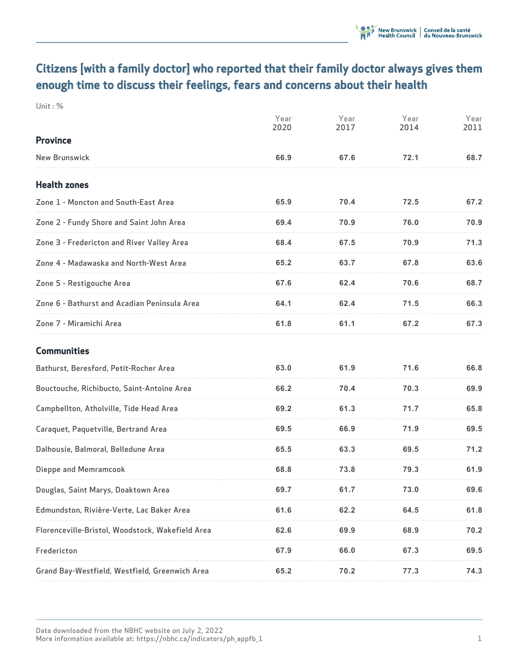# **Citizens [with a family doctor] who reported that their family doctor always gives them enough time to discuss their feelings, fears and concerns about their health**

**Unit : %**

|                                                  | Year<br>2020 | Year<br>2017 | Year<br>2014 | Year<br>2011 |
|--------------------------------------------------|--------------|--------------|--------------|--------------|
| <b>Province</b>                                  |              |              |              |              |
| <b>New Brunswick</b>                             | 66.9         | 67.6         | 72.1         | 68.7         |
| <b>Health zones</b>                              |              |              |              |              |
| Zone 1 - Moncton and South-East Area             | 65.9         | 70.4         | 72.5         | 67.2         |
| Zone 2 - Fundy Shore and Saint John Area         | 69.4         | 70.9         | 76.0         | 70.9         |
| Zone 3 - Fredericton and River Valley Area       | 68.4         | 67.5         | 70.9         | 71.3         |
| Zone 4 - Madawaska and North-West Area           | 65.2         | 63.7         | 67.8         | 63.6         |
| Zone 5 - Restigouche Area                        | 67.6         | 62.4         | 70.6         | 68.7         |
| Zone 6 - Bathurst and Acadian Peninsula Area     | 64.1         | 62.4         | 71.5         | 66.3         |
| Zone 7 - Miramichi Area                          | 61.8         | 61.1         | 67.2         | 67.3         |
| <b>Communities</b>                               |              |              |              |              |
| Bathurst, Beresford, Petit-Rocher Area           | 63.0         | 61.9         | 71.6         | 66.8         |
| Bouctouche, Richibucto, Saint-Antoine Area       | 66.2         | 70.4         | 70.3         | 69.9         |
| Campbellton, Atholville, Tide Head Area          | 69.2         | 61.3         | 71.7         | 65.8         |
| Caraquet, Paquetville, Bertrand Area             | 69.5         | 66.9         | 71.9         | 69.5         |
| Dalhousie, Balmoral, Belledune Area              | 65.5         | 63.3         | 69.5         | 71.2         |
| Dieppe and Memramcook                            | 68.8         | 73.8         | 79.3         | 61.9         |
| Douglas, Saint Marys, Doaktown Area              | 69.7         | 61.7         | 73.0         | 69.6         |
| Edmundston, Rivière-Verte, Lac Baker Area        | 61.6         | 62.2         | 64.5         | 61.8         |
| Florenceville-Bristol, Woodstock, Wakefield Area | 62.6         | 69.9         | 68.9         | 70.2         |
| Fredericton                                      | 67.9         | 66.0         | 67.3         | 69.5         |
| Grand Bay-Westfield, Westfield, Greenwich Area   | 65.2         | 70.2         | 77.3         | 74.3         |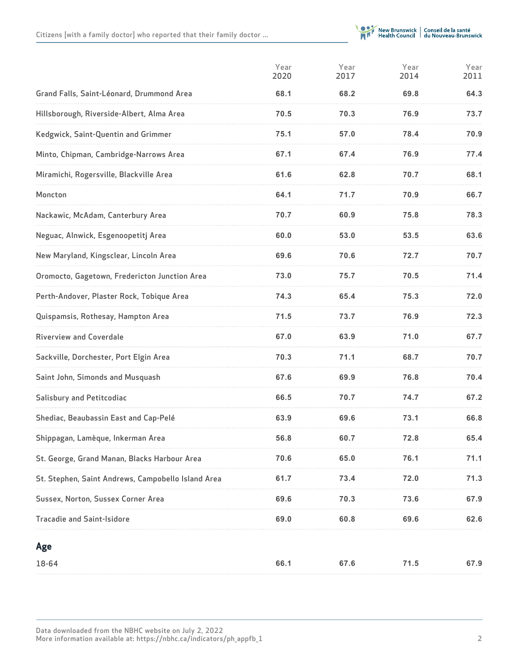

|                                                    | Year<br>2020 | Year<br>2017 | Year<br>2014 | Year<br>2011 |
|----------------------------------------------------|--------------|--------------|--------------|--------------|
| Grand Falls, Saint-Léonard, Drummond Area          | 68.1         | 68.2         | 69.8         | 64.3         |
| Hillsborough, Riverside-Albert, Alma Area          | 70.5         | 70.3         | 76.9         | 73.7         |
| Kedgwick, Saint-Quentin and Grimmer                | 75.1         | 57.0         | 78.4         | 70.9         |
| Minto, Chipman, Cambridge-Narrows Area             | 67.1         | 67.4         | 76.9         | 77.4         |
| Miramichi, Rogersville, Blackville Area            | 61.6         | 62.8         | 70.7         | 68.1         |
| Moncton                                            | 64.1         | 71.7         | 70.9         | 66.7         |
| Nackawic, McAdam, Canterbury Area                  | 70.7         | 60.9         | 75.8         | 78.3         |
| Neguac, Alnwick, Esgenoopetitj Area                | 60.0         | 53.0         | 53.5         | 63.6         |
| New Maryland, Kingsclear, Lincoln Area             | 69.6         | 70.6         | 72.7         | 70.7         |
| Oromocto, Gagetown, Fredericton Junction Area      | 73.0         | 75.7         | 70.5         | 71.4         |
| Perth-Andover, Plaster Rock, Tobique Area          | 74.3         | 65.4         | 75.3         | 72.0         |
| Quispamsis, Rothesay, Hampton Area                 | 71.5         | 73.7         | 76.9         | 72.3         |
| <b>Riverview and Coverdale</b>                     | 67.0         | 63.9         | 71.0         | 67.7         |
| Sackville, Dorchester, Port Elgin Area             | 70.3         | 71.1         | 68.7         | 70.7         |
| Saint John, Simonds and Musquash                   | 67.6         | 69.9         | 76.8         | 70.4         |
| <b>Salisbury and Petitcodiac</b>                   | 66.5         | 70.7         | 74.7         | 67.2         |
| Shediac, Beaubassin East and Cap-Pelé              | 63.9         | 69.6         | 73.1         | 66.8         |
| Shippagan, Lamèque, Inkerman Area                  | 56.8         | 60.7         | 72.8         | 65.4         |
| St. George, Grand Manan, Blacks Harbour Area       | 70.6         | 65.0         | 76.1         | 71.1         |
| St. Stephen, Saint Andrews, Campobello Island Area | 61.7         | 73.4         | 72.0         | 71.3         |
| Sussex, Norton, Sussex Corner Area                 | 69.6         | 70.3         | 73.6         | 67.9         |
| <b>Tracadie and Saint-Isidore</b>                  | 69.0         | 60.8         | 69.6         | 62.6         |
| Age                                                |              |              |              |              |
| 18-64                                              | 66.1         | 67.6         | 71.5         | 67.9         |
|                                                    |              |              |              |              |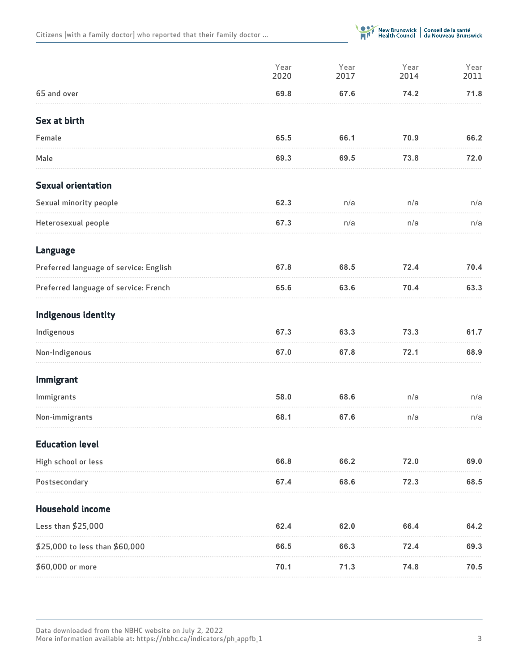**Citizens [with a family doctor] who reported that their family doctor ...**



|                                        | Year<br>2020 | Year<br>2017 | Year<br>2014 | Year<br>2011 |
|----------------------------------------|--------------|--------------|--------------|--------------|
| 65 and over                            | 69.8         | 67.6         | 74.2         | 71.8         |
| Sex at birth                           |              |              |              |              |
| Female                                 | 65.5         | 66.1         | 70.9         | 66.2         |
| Male                                   | 69.3         | 69.5         | 73.8         | 72.0         |
| <b>Sexual orientation</b>              |              |              |              |              |
| Sexual minority people                 | 62.3         | n/a          | n/a          | n/a          |
| Heterosexual people                    | 67.3         | n/a          | n/a          | n/a          |
| <b>Language</b>                        |              |              |              |              |
| Preferred language of service: English | 67.8         | 68.5         | 72.4         | 70.4         |
| Preferred language of service: French  | 65.6         | 63.6         | 70.4         | 63.3         |
| Indigenous identity                    |              |              |              |              |
| Indigenous                             | 67.3         | 63.3         | 73.3         | 61.7         |
| Non-Indigenous                         | 67.0         | 67.8         | 72.1         | 68.9         |
| Immigrant                              |              |              |              |              |
| Immigrants                             | 58.0         | 68.6         | n/a          | n/a          |
| Non-immigrants                         | 68.1         | 67.6         | n/a          | n/a          |
| <b>Education level</b>                 |              |              |              |              |
| High school or less                    | 66.8         | 66.2         | 72.0         | 69.0         |
| Postsecondary                          | 67.4         | 68.6         | 72.3         | 68.5         |
| <b>Household income</b>                |              |              |              |              |
| Less than \$25,000                     | 62.4         | 62.0         | 66.4         | 64.2         |
| \$25,000 to less than \$60,000         | 66.5         | 66.3         | 72.4         | 69.3         |
| \$60,000 or more                       | 70.1         | 71.3         | 74.8         | 70.5         |

**Data downloaded from the NBHC website on July 2, 2022 More information available at: https://nbhc.ca/indicators/ph\_appfb\_1 3**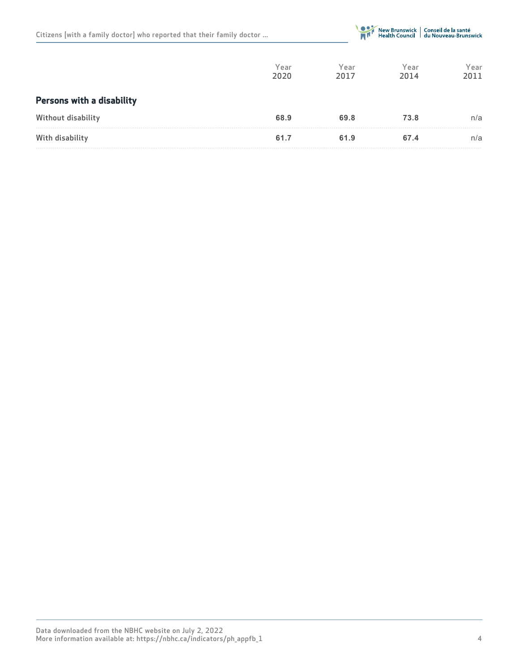|  |  |  |  |  | Citizens [with a family doctor] who reported that their family doctor |  |  |  |  |  |
|--|--|--|--|--|-----------------------------------------------------------------------|--|--|--|--|--|
|--|--|--|--|--|-----------------------------------------------------------------------|--|--|--|--|--|



|                                  | Year<br>2020 | Year<br>2017 | Year<br>2014 | Year<br>2011 |
|----------------------------------|--------------|--------------|--------------|--------------|
| <b>Persons with a disability</b> |              |              |              |              |
| Without disability               | 68.9         | 69.8         | 73.8         | n/a          |
| With disability                  | 61.7         | 61.9         | 67.4         | n/a          |